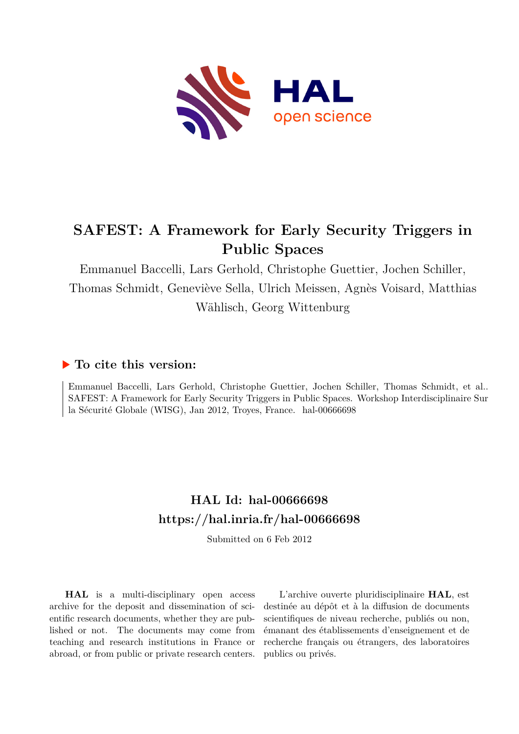

# **SAFEST: A Framework for Early Security Triggers in Public Spaces**

Emmanuel Baccelli, Lars Gerhold, Christophe Guettier, Jochen Schiller, Thomas Schmidt, Geneviève Sella, Ulrich Meissen, Agnès Voisard, Matthias Wählisch, Georg Wittenburg

## **To cite this version:**

Emmanuel Baccelli, Lars Gerhold, Christophe Guettier, Jochen Schiller, Thomas Schmidt, et al.. SAFEST: A Framework for Early Security Triggers in Public Spaces. Workshop Interdisciplinaire Sur la Sécurité Globale (WISG), Jan 2012, Troyes, France. hal-00666698

## **HAL Id: hal-00666698 <https://hal.inria.fr/hal-00666698>**

Submitted on 6 Feb 2012

**HAL** is a multi-disciplinary open access archive for the deposit and dissemination of scientific research documents, whether they are published or not. The documents may come from teaching and research institutions in France or abroad, or from public or private research centers.

L'archive ouverte pluridisciplinaire **HAL**, est destinée au dépôt et à la diffusion de documents scientifiques de niveau recherche, publiés ou non, émanant des établissements d'enseignement et de recherche français ou étrangers, des laboratoires publics ou privés.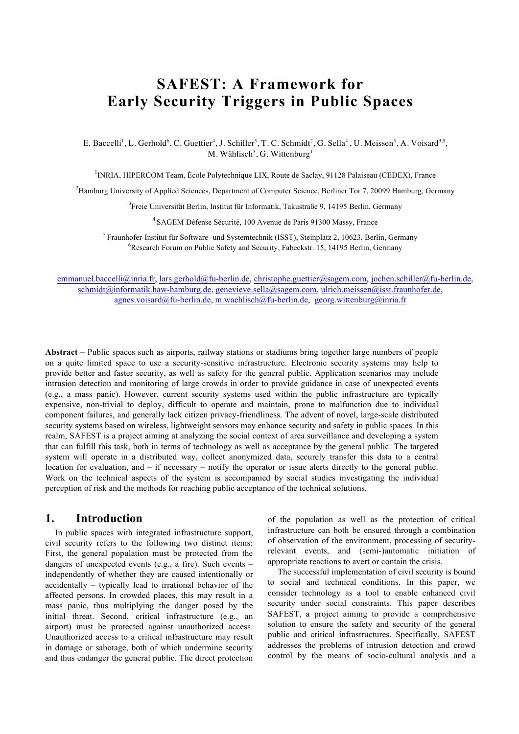## **SAFEST: A Framework for Early Security Triggers in Public Spaces**

E. Baccelli<sup>1</sup>, L. Gerhold<sup>6</sup>, C. Guettier<sup>4</sup>, J. Schiller<sup>3</sup>, T. C. Schmidt<sup>2</sup>, G. Sella<sup>4</sup>, U. Meissen<sup>5</sup>, A. Voisard<sup>3,5</sup>, M. Wählisch<sup>3</sup>, G. Wittenburg<sup>1</sup>

1 INRIA, HIPERCOM Team, École Polytechnique LIX, Route de Saclay, 91128 Palaiseau (CEDEX), France

<sup>2</sup>Hamburg University of Applied Sciences, Department of Computer Science, Berliner Tor 7, 20099 Hamburg, Germany

3 Freie Universität Berlin, Institut für Informatik, Takustraße 9, 14195 Berlin, Germany

<sup>4</sup>SAGEM Défense Sécurité, 100 Avenue de Paris 91300 Massy, France

<sup>5</sup> Fraunhofer-Institut für Software- und Systemtechnik (ISST), Steinplatz 2, 10623, Berlin, Germany 6 Research Forum on Public Safety and Security, Fabeckstr. 15, 14195 Berlin, Germany

emmanuel.baccelli@inria.fr, lars.gerhold@fu-berlin.de, christophe.guettier@sagem.com, jochen.schiller@fu-berlin.de, schmidt@informatik.haw-hamburg.de, genevieve.sella@sagem.com, ulrich.meissen@isst.fraunhofer.de, agnes.voisard@fu-berlin.de, m.waehlisch@fu-berlin.de, georg.wittenburg@inria.fr

**Abstract** *–* Public spaces such as airports, railway stations or stadiums bring together large numbers of people on a quite limited space to use a security-sensitive infrastructure. Electronic security systems may help to provide better and faster security, as well as safety for the general public. Application scenarios may include intrusion detection and monitoring of large crowds in order to provide guidance in case of unexpected events (e.g., a mass panic). However, current security systems used within the public infrastructure are typically expensive, non-trivial to deploy, difficult to operate and maintain, prone to malfunction due to individual component failures, and generally lack citizen privacy-friendliness. The advent of novel, large-scale distributed security systems based on wireless, lightweight sensors may enhance security and safety in public spaces. In this realm, SAFEST is a project aiming at analyzing the social context of area surveillance and developing a system that can fulfill this task, both in terms of technology as well as acceptance by the general public. The targeted system will operate in a distributed way, collect anonymized data, securely transfer this data to a central location for evaluation, and – if necessary – notify the operator or issue alerts directly to the general public. Work on the technical aspects of the system is accompanied by social studies investigating the individual perception of risk and the methods for reaching public acceptance of the technical solutions.

### **1. Introduction**

In public spaces with integrated infrastructure support, civil security refers to the following two distinct items: First, the general population must be protected from the dangers of unexpected events (e.g., a fire). Such events – independently of whether they are caused intentionally or accidentally – typically lead to irrational behavior of the affected persons. In crowded places, this may result in a mass panic, thus multiplying the danger posed by the initial threat. Second, critical infrastructure (e.g., an airport) must be protected against unauthorized access. Unauthorized access to a critical infrastructure may result in damage or sabotage, both of which undermine security and thus endanger the general public. The direct protection of the population as well as the protection of critical infrastructure can both be ensured through a combination of observation of the environment, processing of securityrelevant events, and (semi-)automatic initiation of appropriate reactions to avert or contain the crisis.

The successful implementation of civil security is bound to social and technical conditions. In this paper, we consider technology as a tool to enable enhanced civil security under social constraints. This paper describes SAFEST, a project aiming to provide a comprehensive solution to ensure the safety and security of the general public and critical infrastructures. Specifically, SAFEST addresses the problems of intrusion detection and crowd control by the means of socio-cultural analysis and a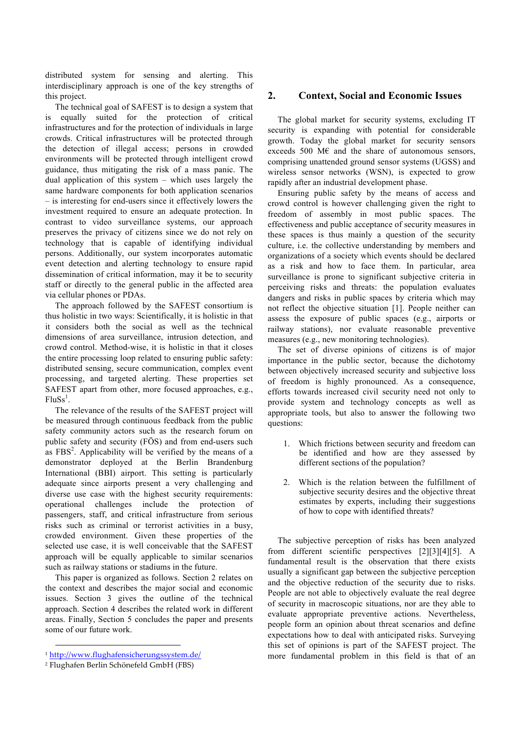distributed system for sensing and alerting. This interdisciplinary approach is one of the key strengths of this project.

The technical goal of SAFEST is to design a system that is equally suited for the protection of critical infrastructures and for the protection of individuals in large crowds. Critical infrastructures will be protected through the detection of illegal access; persons in crowded environments will be protected through intelligent crowd guidance, thus mitigating the risk of a mass panic. The dual application of this system – which uses largely the same hardware components for both application scenarios – is interesting for end-users since it effectively lowers the investment required to ensure an adequate protection. In contrast to video surveillance systems, our approach preserves the privacy of citizens since we do not rely on technology that is capable of identifying individual persons. Additionally, our system incorporates automatic event detection and alerting technology to ensure rapid dissemination of critical information, may it be to security staff or directly to the general public in the affected area via cellular phones or PDAs.

The approach followed by the SAFEST consortium is thus holistic in two ways: Scientifically, it is holistic in that it considers both the social as well as the technical dimensions of area surveillance, intrusion detection, and crowd control. Method-wise, it is holistic in that it closes the entire processing loop related to ensuring public safety: distributed sensing, secure communication, complex event processing, and targeted alerting. These properties set SAFEST apart from other, more focused approaches, e.g.,  $FluSs<sup>1</sup>$ .

The relevance of the results of the SAFEST project will be measured through continuous feedback from the public safety community actors such as the research forum on public safety and security (FÖS) and from end-users such as  $FBS<sup>2</sup>$ . Applicability will be verified by the means of a demonstrator deployed at the Berlin Brandenburg International (BBI) airport. This setting is particularly adequate since airports present a very challenging and diverse use case with the highest security requirements: operational challenges include the protection of passengers, staff, and critical infrastructure from serious risks such as criminal or terrorist activities in a busy, crowded environment. Given these properties of the selected use case, it is well conceivable that the SAFEST approach will be equally applicable to similar scenarios such as railway stations or stadiums in the future.

This paper is organized as follows. Section 2 relates on the context and describes the major social and economic issues. Section 3 gives the outline of the technical approach. Section 4 describes the related work in different areas. Finally, Section 5 concludes the paper and presents some of our future work.

l

#### **2. Context, Social and Economic Issues**

The global market for security systems, excluding IT security is expanding with potential for considerable growth. Today the global market for security sensors exceeds 500 M $\epsilon$  and the share of autonomous sensors, comprising unattended ground sensor systems (UGSS) and wireless sensor networks (WSN), is expected to grow rapidly after an industrial development phase.

Ensuring public safety by the means of access and crowd control is however challenging given the right to freedom of assembly in most public spaces. The effectiveness and public acceptance of security measures in these spaces is thus mainly a question of the security culture, i.e. the collective understanding by members and organizations of a society which events should be declared as a risk and how to face them. In particular, area surveillance is prone to significant subjective criteria in perceiving risks and threats: the population evaluates dangers and risks in public spaces by criteria which may not reflect the objective situation [1]. People neither can assess the exposure of public spaces (e.g., airports or railway stations), nor evaluate reasonable preventive measures (e.g., new monitoring technologies).

The set of diverse opinions of citizens is of major importance in the public sector, because the dichotomy between objectively increased security and subjective loss of freedom is highly pronounced. As a consequence, efforts towards increased civil security need not only to provide system and technology concepts as well as appropriate tools, but also to answer the following two questions:

- 1. Which frictions between security and freedom can be identified and how are they assessed by different sections of the population?
- 2. Which is the relation between the fulfillment of subjective security desires and the objective threat estimates by experts, including their suggestions of how to cope with identified threats?

The subjective perception of risks has been analyzed from different scientific perspectives [2][3][4][5]. A fundamental result is the observation that there exists usually a significant gap between the subjective perception and the objective reduction of the security due to risks. People are not able to objectively evaluate the real degree of security in macroscopic situations, nor are they able to evaluate appropriate preventive actions. Nevertheless, people form an opinion about threat scenarios and define expectations how to deal with anticipated risks. Surveying this set of opinions is part of the SAFEST project. The more fundamental problem in this field is that of an

<sup>1</sup> http://www.flughafensicherungssystem.de/

<sup>&</sup>lt;sup>2</sup> Flughafen Berlin Schönefeld GmbH (FBS)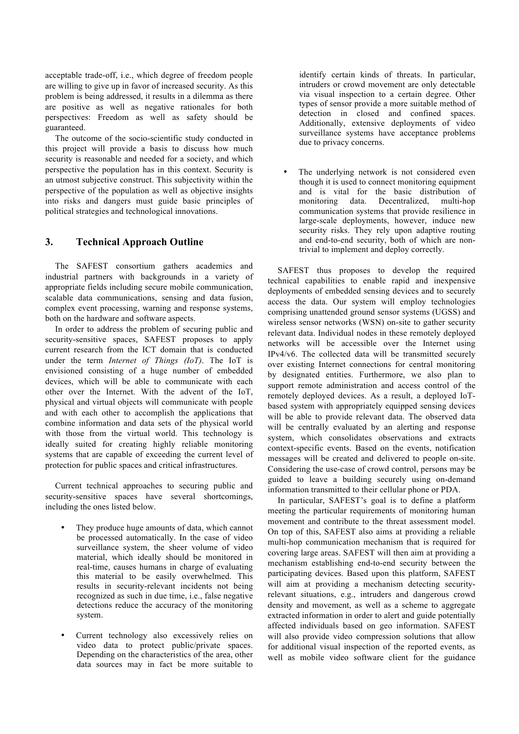acceptable trade-off, i.e., which degree of freedom people are willing to give up in favor of increased security. As this problem is being addressed, it results in a dilemma as there are positive as well as negative rationales for both perspectives: Freedom as well as safety should be guaranteed.

The outcome of the socio-scientific study conducted in this project will provide a basis to discuss how much security is reasonable and needed for a society, and which perspective the population has in this context. Security is an utmost subjective construct. This subjectivity within the perspective of the population as well as objective insights into risks and dangers must guide basic principles of political strategies and technological innovations.

### **3. Technical Approach Outline**

The SAFEST consortium gathers academics and industrial partners with backgrounds in a variety of appropriate fields including secure mobile communication, scalable data communications, sensing and data fusion, complex event processing, warning and response systems, both on the hardware and software aspects.

In order to address the problem of securing public and security-sensitive spaces, SAFEST proposes to apply current research from the ICT domain that is conducted under the term *Internet of Things (IoT)*. The IoT is envisioned consisting of a huge number of embedded devices, which will be able to communicate with each other over the Internet. With the advent of the IoT, physical and virtual objects will communicate with people and with each other to accomplish the applications that combine information and data sets of the physical world with those from the virtual world. This technology is ideally suited for creating highly reliable monitoring systems that are capable of exceeding the current level of protection for public spaces and critical infrastructures.

Current technical approaches to securing public and security-sensitive spaces have several shortcomings, including the ones listed below.

- They produce huge amounts of data, which cannot be processed automatically. In the case of video surveillance system, the sheer volume of video material, which ideally should be monitored in real-time, causes humans in charge of evaluating this material to be easily overwhelmed. This results in security-relevant incidents not being recognized as such in due time, i.e., false negative detections reduce the accuracy of the monitoring system.
- Current technology also excessively relies on video data to protect public/private spaces. Depending on the characteristics of the area, other data sources may in fact be more suitable to

identify certain kinds of threats. In particular, intruders or crowd movement are only detectable via visual inspection to a certain degree. Other types of sensor provide a more suitable method of detection in closed and confined spaces. Additionally, extensive deployments of video surveillance systems have acceptance problems due to privacy concerns.

The underlying network is not considered even though it is used to connect monitoring equipment and is vital for the basic distribution of monitoring data. Decentralized, multi-hop communication systems that provide resilience in large-scale deployments, however, induce new security risks. They rely upon adaptive routing and end-to-end security, both of which are nontrivial to implement and deploy correctly.

SAFEST thus proposes to develop the required technical capabilities to enable rapid and inexpensive deployments of embedded sensing devices and to securely access the data. Our system will employ technologies comprising unattended ground sensor systems (UGSS) and wireless sensor networks (WSN) on-site to gather security relevant data. Individual nodes in these remotely deployed networks will be accessible over the Internet using IPv4/v6. The collected data will be transmitted securely over existing Internet connections for central monitoring by designated entities. Furthermore, we also plan to support remote administration and access control of the remotely deployed devices. As a result, a deployed IoTbased system with appropriately equipped sensing devices will be able to provide relevant data. The observed data will be centrally evaluated by an alerting and response system, which consolidates observations and extracts context-specific events. Based on the events, notification messages will be created and delivered to people on-site. Considering the use-case of crowd control, persons may be guided to leave a building securely using on-demand information transmitted to their cellular phone or PDA.

In particular, SAFEST's goal is to define a platform meeting the particular requirements of monitoring human movement and contribute to the threat assessment model. On top of this, SAFEST also aims at providing a reliable multi-hop communication mechanism that is required for covering large areas. SAFEST will then aim at providing a mechanism establishing end-to-end security between the participating devices. Based upon this platform, SAFEST will aim at providing a mechanism detecting securityrelevant situations, e.g., intruders and dangerous crowd density and movement, as well as a scheme to aggregate extracted information in order to alert and guide potentially affected individuals based on geo information. SAFEST will also provide video compression solutions that allow for additional visual inspection of the reported events, as well as mobile video software client for the guidance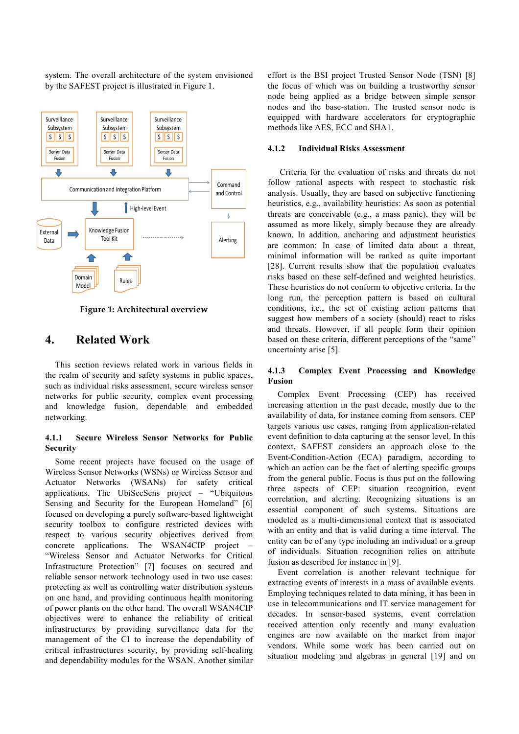system. The overall architecture of the system envisioned by the SAFEST project is illustrated in Figure 1.



**Figure 1: Architectural overview** 

## **4. Related Work**

This section reviews related work in various fields in the realm of security and safety systems in public spaces, such as individual risks assessment, secure wireless sensor networks for public security, complex event processing and knowledge fusion, dependable and embedded networking.

#### **4.1.1 Secure Wireless Sensor Networks for Public Security**

Some recent projects have focused on the usage of Wireless Sensor Networks (WSNs) or Wireless Sensor and Actuator Networks (WSANs) for safety critical applications. The UbiSecSens project – "Ubiquitous Sensing and Security for the European Homeland" [6] focused on developing a purely software-based lightweight security toolbox to configure restricted devices with respect to various security objectives derived from concrete applications. The WSAN4CIP project – "Wireless Sensor and Actuator Networks for Critical Infrastructure Protection" [7] focuses on secured and reliable sensor network technology used in two use cases: protecting as well as controlling water distribution systems on one hand, and providing continuous health monitoring of power plants on the other hand. The overall WSAN4CIP objectives were to enhance the reliability of critical infrastructures by providing surveillance data for the management of the CI to increase the dependability of critical infrastructures security, by providing self-healing and dependability modules for the WSAN. Another similar

effort is the BSI project Trusted Sensor Node (TSN) [8] the focus of which was on building a trustworthy sensor node being applied as a bridge between simple sensor nodes and the base-station. The trusted sensor node is equipped with hardware accelerators for cryptographic methods like AES, ECC and SHA1.

#### **4.1.2 Individual Risks Assessment**

Criteria for the evaluation of risks and threats do not follow rational aspects with respect to stochastic risk analysis. Usually, they are based on subjective functioning heuristics, e.g., availability heuristics: As soon as potential threats are conceivable (e.g., a mass panic), they will be assumed as more likely, simply because they are already known. In addition, anchoring and adjustment heuristics are common: In case of limited data about a threat, minimal information will be ranked as quite important [28]. Current results show that the population evaluates risks based on these self-defined and weighted heuristics. These heuristics do not conform to objective criteria. In the long run, the perception pattern is based on cultural conditions, i.e., the set of existing action patterns that suggest how members of a society (should) react to risks and threats. However, if all people form their opinion based on these criteria, different perceptions of the "same" uncertainty arise [5].

#### **4.1.3 Complex Event Processing and Knowledge Fusion**

Complex Event Processing (CEP) has received increasing attention in the past decade, mostly due to the availability of data, for instance coming from sensors. CEP targets various use cases, ranging from application-related event definition to data capturing at the sensor level. In this context, SAFEST considers an approach close to the Event-Condition-Action (ECA) paradigm, according to which an action can be the fact of alerting specific groups from the general public. Focus is thus put on the following three aspects of CEP: situation recognition, event correlation, and alerting. Recognizing situations is an essential component of such systems. Situations are modeled as a multi-dimensional context that is associated with an entity and that is valid during a time interval. The entity can be of any type including an individual or a group of individuals. Situation recognition relies on attribute fusion as described for instance in [9].

Event correlation is another relevant technique for extracting events of interests in a mass of available events. Employing techniques related to data mining, it has been in use in telecommunications and IT service management for decades. In sensor-based systems, event correlation received attention only recently and many evaluation engines are now available on the market from major vendors. While some work has been carried out on situation modeling and algebras in general [19] and on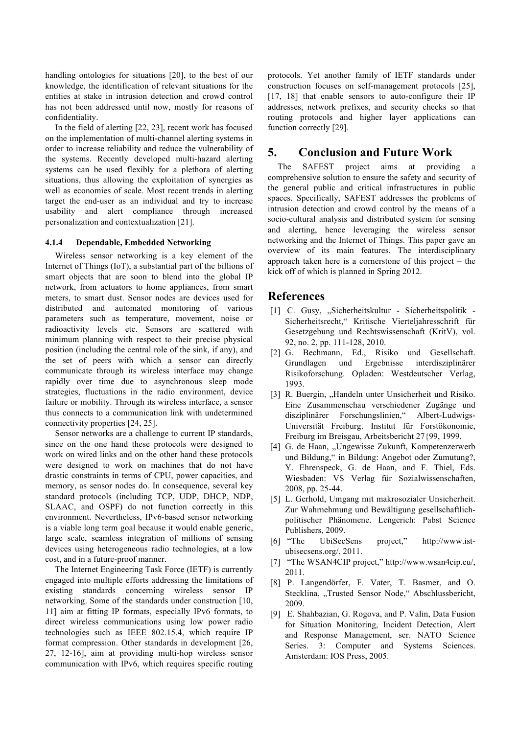handling ontologies for situations [20], to the best of our knowledge, the identification of relevant situations for the entities at stake in intrusion detection and crowd control has not been addressed until now, mostly for reasons of confidentiality.

In the field of alerting [22, 23], recent work has focused on the implementation of multi-channel alerting systems in order to increase reliability and reduce the vulnerability of the systems. Recently developed multi-hazard alerting systems can be used flexibly for a plethora of alerting situations, thus allowing the exploitation of synergies as well as economies of scale. Most recent trends in alerting target the end-user as an individual and try to increase usability and alert compliance through increased personalization and contextualization [21].

#### **4.1.4 Dependable, Embedded Networking**

Wireless sensor networking is a key element of the Internet of Things (IoT), a substantial part of the billions of smart objects that are soon to blend into the global IP network, from actuators to home appliances, from smart meters, to smart dust. Sensor nodes are devices used for distributed and automated monitoring of various parameters such as temperature, movement, noise or radioactivity levels etc. Sensors are scattered with minimum planning with respect to their precise physical position (including the central role of the sink, if any), and the set of peers with which a sensor can directly communicate through its wireless interface may change rapidly over time due to asynchronous sleep mode strategies, fluctuations in the radio environment, device failure or mobility. Through its wireless interface, a sensor thus connects to a communication link with undetermined connectivity properties [24, 25].

Sensor networks are a challenge to current IP standards, since on the one hand these protocols were designed to work on wired links and on the other hand these protocols were designed to work on machines that do not have drastic constraints in terms of CPU, power capacities, and memory, as sensor nodes do. In consequence, several key standard protocols (including TCP, UDP, DHCP, NDP, SLAAC, and OSPF) do not function correctly in this environment. Nevertheless, IPv6-based sensor networking is a viable long term goal because it would enable generic, large scale, seamless integration of millions of sensing devices using heterogeneous radio technologies, at a low cost, and in a future-proof manner.

The Internet Engineering Task Force (IETF) is currently engaged into multiple efforts addressing the limitations of existing standards concerning wireless sensor IP networking. Some of the standards under construction [10, 11] aim at fitting IP formats, especially IPv6 formats, to direct wireless communications using low power radio technologies such as IEEE 802.15.4, which require IP format compression. Other standards in development [26, 27, 12-16], aim at providing multi-hop wireless sensor communication with IPv6, which requires specific routing protocols. Yet another family of IETF standards under construction focuses on self-management protocols [25], [17, 18] that enable sensors to auto-configure their IP addresses, network prefixes, and security checks so that routing protocols and higher layer applications can function correctly [29].

## **5. Conclusion and Future Work**

The SAFEST project aims at providing a comprehensive solution to ensure the safety and security of the general public and critical infrastructures in public spaces. Specifically, SAFEST addresses the problems of intrusion detection and crowd control by the means of a socio-cultural analysis and distributed system for sensing and alerting, hence leveraging the wireless sensor networking and the Internet of Things. This paper gave an overview of its main features. The interdisciplinary approach taken here is a cornerstone of this project – the kick off of which is planned in Spring 2012.

### **References**

- [1] C. Gusy, "Sicherheitskultur Sicherheitspolitik -Sicherheitsrecht," Kritische Vierteljahresschrift für Gesetzgebung und Rechtswissenschaft (KritV), vol. 92, no. 2, pp. 111-128, 2010.
- [2] G. Bechmann, Ed., Risiko und Gesellschaft. Grundlagen und Ergebnisse interdisziplinärer Risikoforschung. Opladen: Westdeutscher Verlag, 1993.
- [3] R. Buergin, "Handeln unter Unsicherheit und Risiko. Eine Zusammenschau verschiedener Zugänge und disziplinärer Forschungslinien," Albert-Ludwigs-Universität Freiburg. Institut für Forstökonomie, Freiburg im Breisgau, Arbeitsbericht 27{99, 1999.
- [4] G. de Haan, "Ungewisse Zukunft, Kompetenzerwerb und Bildung," in Bildung: Angebot oder Zumutung?, Y. Ehrenspeck, G. de Haan, and F. Thiel, Eds. Wiesbaden: VS Verlag für Sozialwissenschaften, 2008, pp. 25-44.
- [5] L. Gerhold, Umgang mit makrosozialer Unsicherheit. Zur Wahrnehmung und Bewältigung gesellschaftlichpolitischer Phänomene. Lengerich: Pabst Science Publishers, 2009.
- [6] "The UbiSecSens project," http://www.istubisecsens.org/, 2011.
- [7] "The WSAN4CIP project," http://www.wsan4cip.eu/, 2011.
- [8] P. Langendörfer, F. Vater, T. Basmer, and O. Stecklina, "Trusted Sensor Node," Abschlussbericht, 2009.
- [9] E. Shahbazian, G. Rogova, and P. Valin, Data Fusion for Situation Monitoring, Incident Detection, Alert and Response Management, ser. NATO Science Series. 3: Computer and Systems Sciences. Amsterdam: IOS Press, 2005.